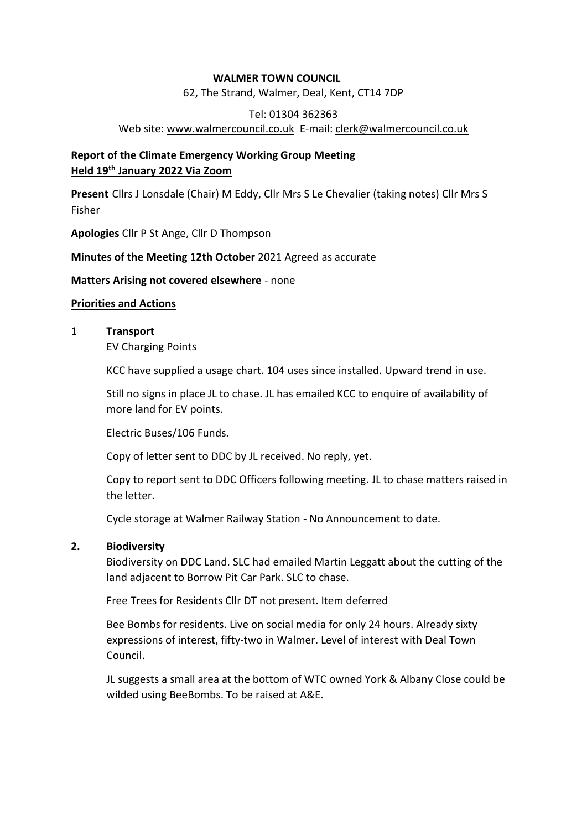#### **WALMER TOWN COUNCIL**

62, The Strand, Walmer, Deal, Kent, CT14 7DP

# Tel: 01304 362363 Web site: [www.walmercouncil.co.uk](http://www.walmercouncil.co.uk/) E-mail: clerk@walmercouncil.co.uk

# **Report of the Climate Emergency Working Group Meeting Held 19 th January 2022 Via Zoom**

**Present** Cllrs J Lonsdale (Chair) M Eddy, Cllr Mrs S Le Chevalier (taking notes) Cllr Mrs S Fisher

**Apologies** Cllr P St Ange, Cllr D Thompson

**Minutes of the Meeting 12th October** 2021 Agreed as accurate

**Matters Arising not covered elsewhere** - none

# **Priorities and Actions**

# 1 **Transport**

EV Charging Points

KCC have supplied a usage chart. 104 uses since installed. Upward trend in use.

Still no signs in place JL to chase. JL has emailed KCC to enquire of availability of more land for EV points.

Electric Buses/106 Funds.

Copy of letter sent to DDC by JL received. No reply, yet.

Copy to report sent to DDC Officers following meeting. JL to chase matters raised in the letter.

Cycle storage at Walmer Railway Station - No Announcement to date.

#### **2. Biodiversity**

Biodiversity on DDC Land. SLC had emailed Martin Leggatt about the cutting of the land adjacent to Borrow Pit Car Park. SLC to chase.

Free Trees for Residents Cllr DT not present. Item deferred

Bee Bombs for residents. Live on social media for only 24 hours. Already sixty expressions of interest, fifty-two in Walmer. Level of interest with Deal Town Council.

JL suggests a small area at the bottom of WTC owned York & Albany Close could be wilded using BeeBombs. To be raised at A&E.